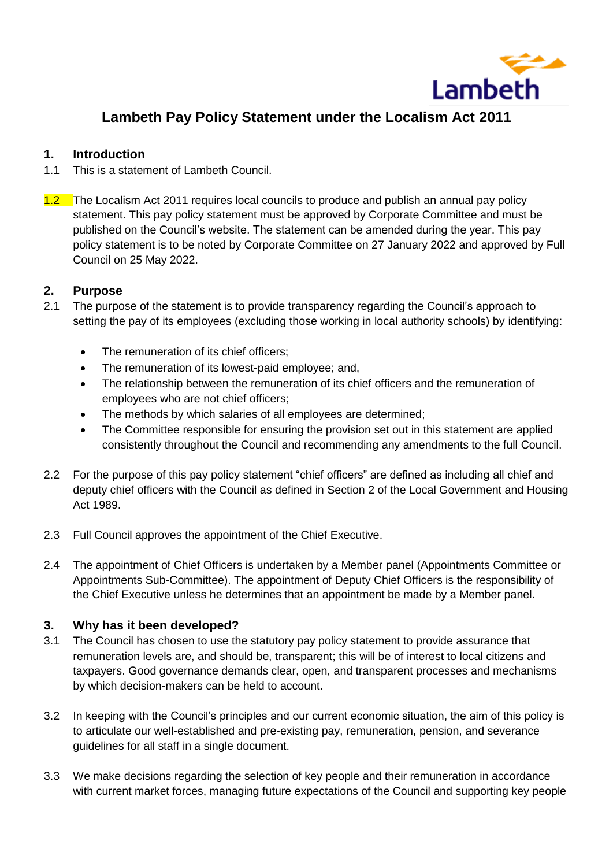

# **Lambeth Pay Policy Statement under the Localism Act 2011**

#### **1. Introduction**

- 1.1 This is a statement of Lambeth Council.
- 1.2 The Localism Act 2011 requires local councils to produce and publish an annual pay policy statement. This pay policy statement must be approved by Corporate Committee and must be published on the Council's website. The statement can be amended during the year. This pay policy statement is to be noted by Corporate Committee on 27 January 2022 and approved by Full Council on 25 May 2022.

## **2. Purpose**

- 2.1 The purpose of the statement is to provide transparency regarding the Council's approach to setting the pay of its employees (excluding those working in local authority schools) by identifying:
	- The remuneration of its chief officers;
	- The remuneration of its lowest-paid employee; and,
	- The relationship between the remuneration of its chief officers and the remuneration of employees who are not chief officers;
	- The methods by which salaries of all employees are determined;
	- The Committee responsible for ensuring the provision set out in this statement are applied consistently throughout the Council and recommending any amendments to the full Council.
- 2.2 For the purpose of this pay policy statement "chief officers" are defined as including all chief and deputy chief officers with the Council as defined in Section 2 of the Local Government and Housing Act 1989.
- 2.3 Full Council approves the appointment of the Chief Executive.
- 2.4 The appointment of Chief Officers is undertaken by a Member panel (Appointments Committee or Appointments Sub-Committee). The appointment of Deputy Chief Officers is the responsibility of the Chief Executive unless he determines that an appointment be made by a Member panel.

## **3. Why has it been developed?**

- 3.1 The Council has chosen to use the statutory pay policy statement to provide assurance that remuneration levels are, and should be, transparent; this will be of interest to local citizens and taxpayers. Good governance demands clear, open, and transparent processes and mechanisms by which decision-makers can be held to account.
- 3.2 In keeping with the Council's principles and our current economic situation, the aim of this policy is to articulate our well-established and pre-existing pay, remuneration, pension, and severance guidelines for all staff in a single document.
- 3.3 We make decisions regarding the selection of key people and their remuneration in accordance with current market forces, managing future expectations of the Council and supporting key people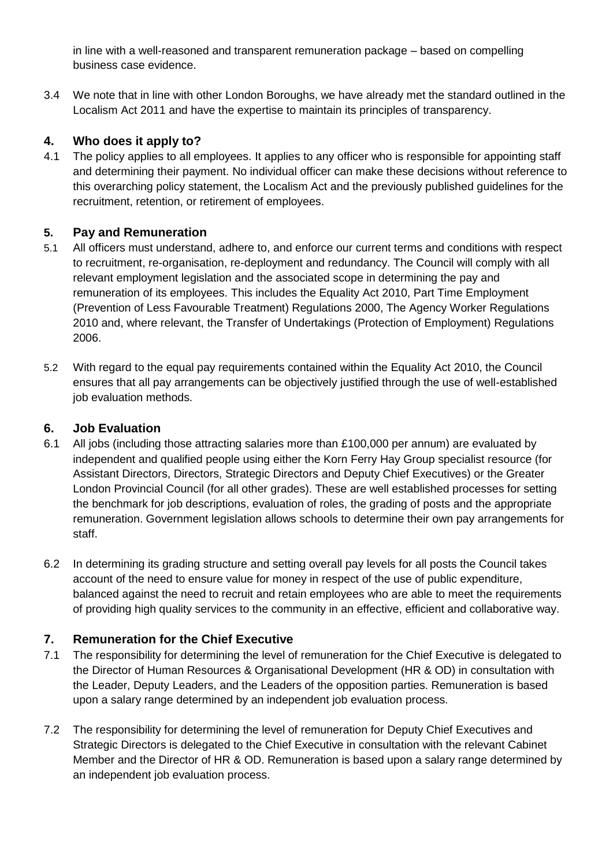in line with a well-reasoned and transparent remuneration package – based on compelling business case evidence.

3.4 We note that in line with other London Boroughs, we have already met the standard outlined in the Localism Act 2011 and have the expertise to maintain its principles of transparency.

## **4. Who does it apply to?**

4.1 The policy applies to all employees. It applies to any officer who is responsible for appointing staff and determining their payment. No individual officer can make these decisions without reference to this overarching policy statement, the Localism Act and the previously published guidelines for the recruitment, retention, or retirement of employees.

## **5. Pay and Remuneration**

- 5.1 All officers must understand, adhere to, and enforce our current terms and conditions with respect to recruitment, re-organisation, re-deployment and redundancy. The Council will comply with all relevant employment legislation and the associated scope in determining the pay and remuneration of its employees. This includes the Equality Act 2010, Part Time Employment (Prevention of Less Favourable Treatment) Regulations 2000, The Agency Worker Regulations 2010 and, where relevant, the Transfer of Undertakings (Protection of Employment) Regulations 2006.
- 5.2 With regard to the equal pay requirements contained within the Equality Act 2010, the Council ensures that all pay arrangements can be objectively justified through the use of well-established job evaluation methods.

# **6. Job Evaluation**

- 6.1 All jobs (including those attracting salaries more than £100,000 per annum) are evaluated by independent and qualified people using either the Korn Ferry Hay Group specialist resource (for Assistant Directors, Directors, Strategic Directors and Deputy Chief Executives) or the Greater London Provincial Council (for all other grades). These are well established processes for setting the benchmark for job descriptions, evaluation of roles, the grading of posts and the appropriate remuneration. Government legislation allows schools to determine their own pay arrangements for staff.
- 6.2 In determining its grading structure and setting overall pay levels for all posts the Council takes account of the need to ensure value for money in respect of the use of public expenditure, balanced against the need to recruit and retain employees who are able to meet the requirements of providing high quality services to the community in an effective, efficient and collaborative way.

# **7. Remuneration for the Chief Executive**

- 7.1 The responsibility for determining the level of remuneration for the Chief Executive is delegated to the Director of Human Resources & Organisational Development (HR & OD) in consultation with the Leader, Deputy Leaders, and the Leaders of the opposition parties. Remuneration is based upon a salary range determined by an independent job evaluation process.
- 7.2 The responsibility for determining the level of remuneration for Deputy Chief Executives and Strategic Directors is delegated to the Chief Executive in consultation with the relevant Cabinet Member and the Director of HR & OD. Remuneration is based upon a salary range determined by an independent job evaluation process.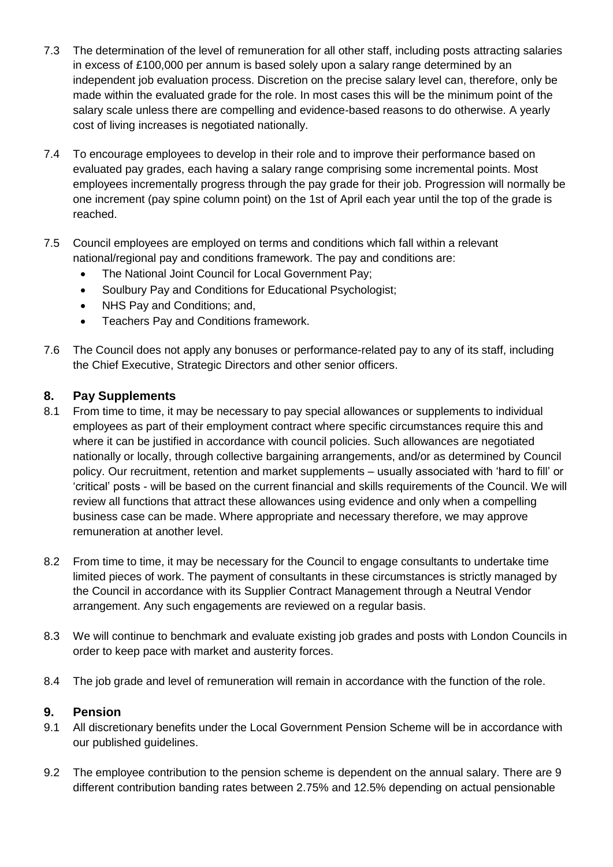- 7.3 The determination of the level of remuneration for all other staff, including posts attracting salaries in excess of £100,000 per annum is based solely upon a salary range determined by an independent job evaluation process. Discretion on the precise salary level can, therefore, only be made within the evaluated grade for the role. In most cases this will be the minimum point of the salary scale unless there are compelling and evidence-based reasons to do otherwise. A yearly cost of living increases is negotiated nationally.
- 7.4 To encourage employees to develop in their role and to improve their performance based on evaluated pay grades, each having a salary range comprising some incremental points. Most employees incrementally progress through the pay grade for their job. Progression will normally be one increment (pay spine column point) on the 1st of April each year until the top of the grade is reached.
- 7.5 Council employees are employed on terms and conditions which fall within a relevant national/regional pay and conditions framework. The pay and conditions are:
	- The National Joint Council for Local Government Pay;
	- Soulbury Pay and Conditions for Educational Psychologist:
	- NHS Pay and Conditions; and,
	- **•** Teachers Pay and Conditions framework.
- 7.6 The Council does not apply any bonuses or performance-related pay to any of its staff, including the Chief Executive, Strategic Directors and other senior officers.

#### **8. Pay Supplements**

- 8.1 From time to time, it may be necessary to pay special allowances or supplements to individual employees as part of their employment contract where specific circumstances require this and where it can be justified in accordance with council policies. Such allowances are negotiated nationally or locally, through collective bargaining arrangements, and/or as determined by Council policy. Our recruitment, retention and market supplements – usually associated with 'hard to fill' or 'critical' posts - will be based on the current financial and skills requirements of the Council. We will review all functions that attract these allowances using evidence and only when a compelling business case can be made. Where appropriate and necessary therefore, we may approve remuneration at another level.
- 8.2 From time to time, it may be necessary for the Council to engage consultants to undertake time limited pieces of work. The payment of consultants in these circumstances is strictly managed by the Council in accordance with its Supplier Contract Management through a Neutral Vendor arrangement. Any such engagements are reviewed on a regular basis.
- 8.3 We will continue to benchmark and evaluate existing job grades and posts with London Councils in order to keep pace with market and austerity forces.
- 8.4 The job grade and level of remuneration will remain in accordance with the function of the role.

#### **9. Pension**

- 9.1 All discretionary benefits under the Local Government Pension Scheme will be in accordance with our published guidelines.
- 9.2 The employee contribution to the pension scheme is dependent on the annual salary. There are 9 different contribution banding rates between 2.75% and 12.5% depending on actual pensionable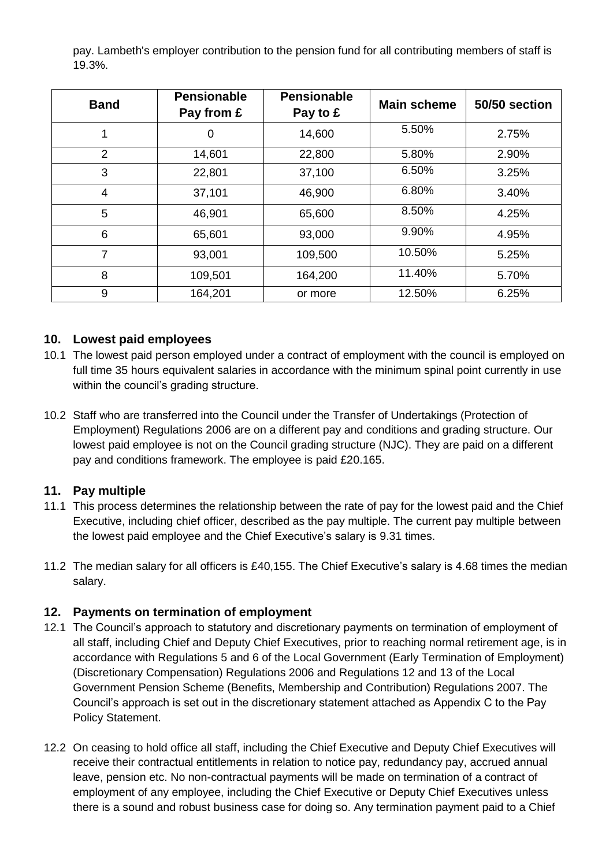pay. Lambeth's employer contribution to the pension fund for all contributing members of staff is 19.3%.

| <b>Band</b> | <b>Pensionable</b><br>Pay from £ | <b>Pensionable</b><br>Pay to £ | <b>Main scheme</b> | 50/50 section |
|-------------|----------------------------------|--------------------------------|--------------------|---------------|
|             | 0                                | 14,600                         | 5.50%              | 2.75%         |
| 2           | 14,601                           | 22,800                         | 5.80%              | 2.90%         |
| 3           | 22,801                           | 37,100                         | 6.50%              | 3.25%         |
| 4           | 37,101                           | 46,900                         | 6.80%              | 3.40%         |
| 5           | 46,901                           | 65,600                         | 8.50%              | 4.25%         |
| 6           | 65,601                           | 93,000                         | 9.90%              | 4.95%         |
| 7           | 93,001                           | 109,500                        | 10.50%             | 5.25%         |
| 8           | 109,501                          | 164,200                        | 11.40%             | 5.70%         |
| 9           | 164,201                          | or more                        | 12.50%             | 6.25%         |

## **10. Lowest paid employees**

- 10.1 The lowest paid person employed under a contract of employment with the council is employed on full time 35 hours equivalent salaries in accordance with the minimum spinal point currently in use within the council's grading structure.
- 10.2 Staff who are transferred into the Council under the Transfer of Undertakings (Protection of Employment) Regulations 2006 are on a different pay and conditions and grading structure. Our lowest paid employee is not on the Council grading structure (NJC). They are paid on a different pay and conditions framework. The employee is paid £20.165.

#### **11. Pay multiple**

- 11.1 This process determines the relationship between the rate of pay for the lowest paid and the Chief Executive, including chief officer, described as the pay multiple. The current pay multiple between the lowest paid employee and the Chief Executive's salary is 9.31 times.
- 11.2 The median salary for all officers is £40,155. The Chief Executive's salary is 4.68 times the median salary.

## **12. Payments on termination of employment**

- 12.1 The Council's approach to statutory and discretionary payments on termination of employment of all staff, including Chief and Deputy Chief Executives, prior to reaching normal retirement age, is in accordance with Regulations 5 and 6 of the Local Government (Early Termination of Employment) (Discretionary Compensation) Regulations 2006 and Regulations 12 and 13 of the Local Government Pension Scheme (Benefits, Membership and Contribution) Regulations 2007. The Council's approach is set out in the discretionary statement attached as Appendix C to the Pay Policy Statement.
- 12.2 On ceasing to hold office all staff, including the Chief Executive and Deputy Chief Executives will receive their contractual entitlements in relation to notice pay, redundancy pay, accrued annual leave, pension etc. No non-contractual payments will be made on termination of a contract of employment of any employee, including the Chief Executive or Deputy Chief Executives unless there is a sound and robust business case for doing so. Any termination payment paid to a Chief